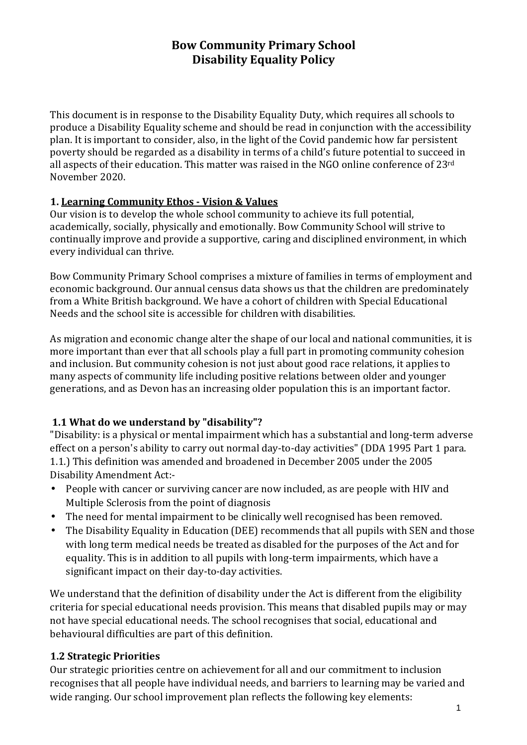# **Bow Community Primary School Disability Equality Policy**

This document is in response to the Disability Equality Duty, which requires all schools to produce a Disability Equality scheme and should be read in conjunction with the accessibility plan. It is important to consider, also, in the light of the Covid pandemic how far persistent poverty should be regarded as a disability in terms of a child's future potential to succeed in all aspects of their education. This matter was raised in the NGO online conference of 23rd November 2020.

#### **1. Learning Community Ethos - Vision & Values**

Our vision is to develop the whole school community to achieve its full potential, academically, socially, physically and emotionally. Bow Community School will strive to continually improve and provide a supportive, caring and disciplined environment, in which every individual can thrive.

Bow Community Primary School comprises a mixture of families in terms of employment and economic background. Our annual census data shows us that the children are predominately from a White British background. We have a cohort of children with Special Educational Needs and the school site is accessible for children with disabilities.

As migration and economic change alter the shape of our local and national communities, it is more important than ever that all schools play a full part in promoting community cohesion and inclusion. But community cohesion is not just about good race relations, it applies to many aspects of community life including positive relations between older and younger generations, and as Devon has an increasing older population this is an important factor.

### **1.1 What do we understand by "disability"?**

"Disability: is a physical or mental impairment which has a substantial and long-term adverse effect on a person's ability to carry out normal day-to-day activities" (DDA 1995 Part 1 para. 1.1.) This definition was amended and broadened in December 2005 under the 2005 Disability Amendment Act:-

- People with cancer or surviving cancer are now included, as are people with HIV and Multiple Sclerosis from the point of diagnosis
- The need for mental impairment to be clinically well recognised has been removed.
- The Disability Equality in Education (DEE) recommends that all pupils with SEN and those with long term medical needs be treated as disabled for the purposes of the Act and for equality. This is in addition to all pupils with long-term impairments, which have a significant impact on their day-to-day activities.

We understand that the definition of disability under the Act is different from the eligibility criteria for special educational needs provision. This means that disabled pupils may or may not have special educational needs. The school recognises that social, educational and behavioural difficulties are part of this definition.

### **1.2 Strategic Priorities**

Our strategic priorities centre on achievement for all and our commitment to inclusion recognises that all people have individual needs, and barriers to learning may be varied and wide ranging. Our school improvement plan reflects the following key elements: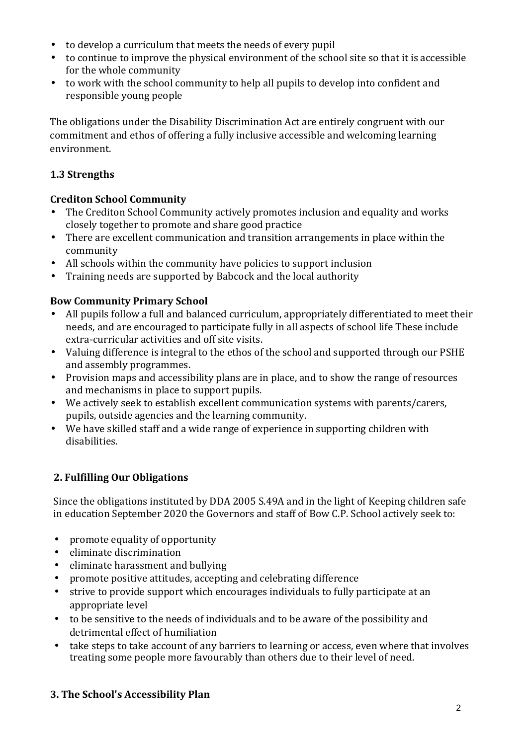- to develop a curriculum that meets the needs of every pupil
- to continue to improve the physical environment of the school site so that it is accessible for the whole community
- to work with the school community to help all pupils to develop into confident and responsible young people

The obligations under the Disability Discrimination Act are entirely congruent with our commitment and ethos of offering a fully inclusive accessible and welcoming learning environment.

# **1.3 Strengths**

# **Crediton School Community**

- The Crediton School Community actively promotes inclusion and equality and works closely together to promote and share good practice
- There are excellent communication and transition arrangements in place within the community
- All schools within the community have policies to support inclusion
- Training needs are supported by Babcock and the local authority

# **Bow Community Primary School**

- All pupils follow a full and balanced curriculum, appropriately differentiated to meet their needs, and are encouraged to participate fully in all aspects of school life These include extra-curricular activities and off site visits.
- Valuing difference is integral to the ethos of the school and supported through our PSHE and assembly programmes.
- Provision maps and accessibility plans are in place, and to show the range of resources and mechanisms in place to support pupils.
- We actively seek to establish excellent communication systems with parents/carers, pupils, outside agencies and the learning community.
- We have skilled staff and a wide range of experience in supporting children with disabilities.

# **2. Fulfilling Our Obligations**

Since the obligations instituted by DDA 2005 S.49A and in the light of Keeping children safe in education September 2020 the Governors and staff of Bow C.P. School actively seek to:

- promote equality of opportunity
- eliminate discrimination
- eliminate harassment and bullying
- promote positive attitudes, accepting and celebrating difference
- strive to provide support which encourages individuals to fully participate at an appropriate level
- to be sensitive to the needs of individuals and to be aware of the possibility and detrimental effect of humiliation
- take steps to take account of any barriers to learning or access, even where that involves treating some people more favourably than others due to their level of need.

# **3. The School's Accessibility Plan**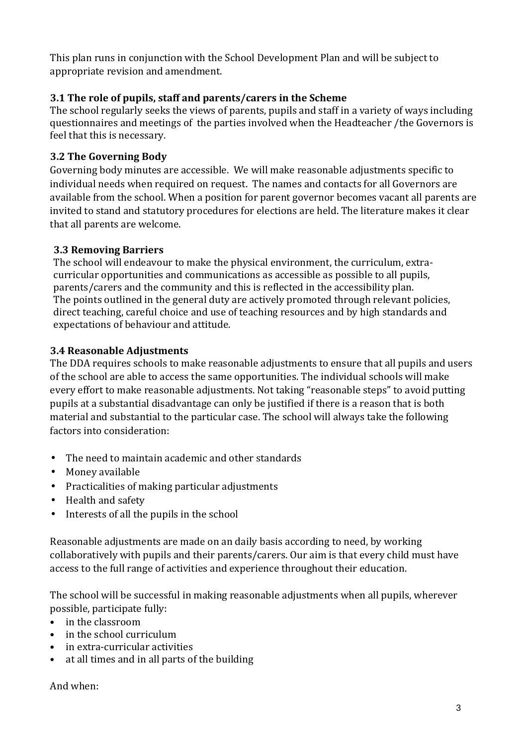This plan runs in conjunction with the School Development Plan and will be subject to appropriate revision and amendment.

# **3.1 The role of pupils, staff and parents/carers in the Scheme**

The school regularly seeks the views of parents, pupils and staff in a variety of ways including questionnaires and meetings of the parties involved when the Headteacher /the Governors is feel that this is necessary.

## **3.2 The Governing Body**

Governing body minutes are accessible. We will make reasonable adjustments specific to individual needs when required on request. The names and contacts for all Governors are available from the school. When a position for parent governor becomes vacant all parents are invited to stand and statutory procedures for elections are held. The literature makes it clear that all parents are welcome.

### **3.3 Removing Barriers**

The school will endeavour to make the physical environment, the curriculum, extracurricular opportunities and communications as accessible as possible to all pupils, parents/carers and the community and this is reflected in the accessibility plan. The points outlined in the general duty are actively promoted through relevant policies, direct teaching, careful choice and use of teaching resources and by high standards and expectations of behaviour and attitude.

## **3.4 Reasonable Adjustments**

The DDA requires schools to make reasonable adjustments to ensure that all pupils and users of the school are able to access the same opportunities. The individual schools will make every effort to make reasonable adjustments. Not taking "reasonable steps" to avoid putting pupils at a substantial disadvantage can only be justified if there is a reason that is both material and substantial to the particular case. The school will always take the following factors into consideration:

- The need to maintain academic and other standards
- Money available
- Practicalities of making particular adjustments
- Health and safety
- Interests of all the pupils in the school

Reasonable adjustments are made on an daily basis according to need, by working collaboratively with pupils and their parents/carers. Our aim is that every child must have access to the full range of activities and experience throughout their education.

The school will be successful in making reasonable adjustments when all pupils, wherever possible, participate fully:

- in the classroom
- in the school curriculum
- in extra-curricular activities
- at all times and in all parts of the building

#### And when: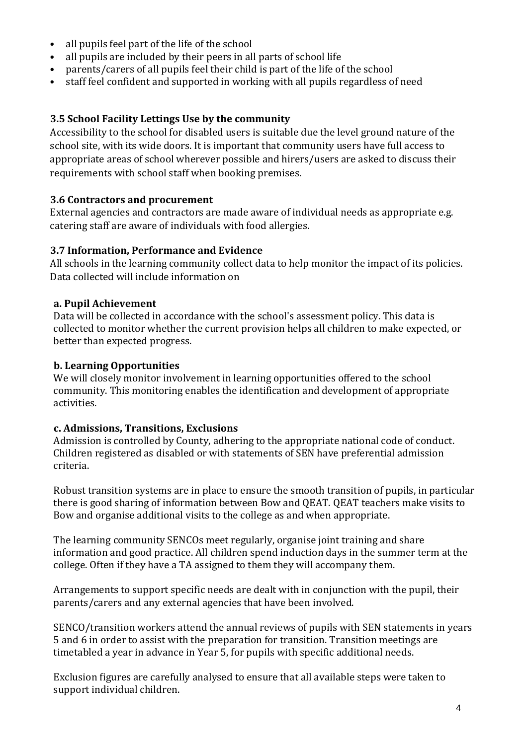- all pupils feel part of the life of the school
- all pupils are included by their peers in all parts of school life
- parents/carers of all pupils feel their child is part of the life of the school
- staff feel confident and supported in working with all pupils regardless of need

#### **3.5 School Facility Lettings Use by the community**

Accessibility to the school for disabled users is suitable due the level ground nature of the school site, with its wide doors. It is important that community users have full access to appropriate areas of school wherever possible and hirers/users are asked to discuss their requirements with school staff when booking premises.

#### **3.6 Contractors and procurement**

External agencies and contractors are made aware of individual needs as appropriate e.g. catering staff are aware of individuals with food allergies.

#### **3.7 Information, Performance and Evidence**

All schools in the learning community collect data to help monitor the impact of its policies. Data collected will include information on

#### **a. Pupil Achievement**

Data will be collected in accordance with the school's assessment policy. This data is collected to monitor whether the current provision helps all children to make expected, or better than expected progress.

#### **b. Learning Opportunities**

We will closely monitor involvement in learning opportunities offered to the school community. This monitoring enables the identification and development of appropriate activities.

#### **c. Admissions, Transitions, Exclusions**

Admission is controlled by County, adhering to the appropriate national code of conduct. Children registered as disabled or with statements of SEN have preferential admission criteria.

Robust transition systems are in place to ensure the smooth transition of pupils, in particular there is good sharing of information between Bow and QEAT. QEAT teachers make visits to Bow and organise additional visits to the college as and when appropriate.

The learning community SENCOs meet regularly, organise joint training and share information and good practice. All children spend induction days in the summer term at the college. Often if they have a TA assigned to them they will accompany them.

Arrangements to support specific needs are dealt with in conjunction with the pupil, their parents/carers and any external agencies that have been involved.

SENCO/transition workers attend the annual reviews of pupils with SEN statements in years 5 and 6 in order to assist with the preparation for transition. Transition meetings are timetabled a year in advance in Year 5, for pupils with specific additional needs.

Exclusion figures are carefully analysed to ensure that all available steps were taken to support individual children.